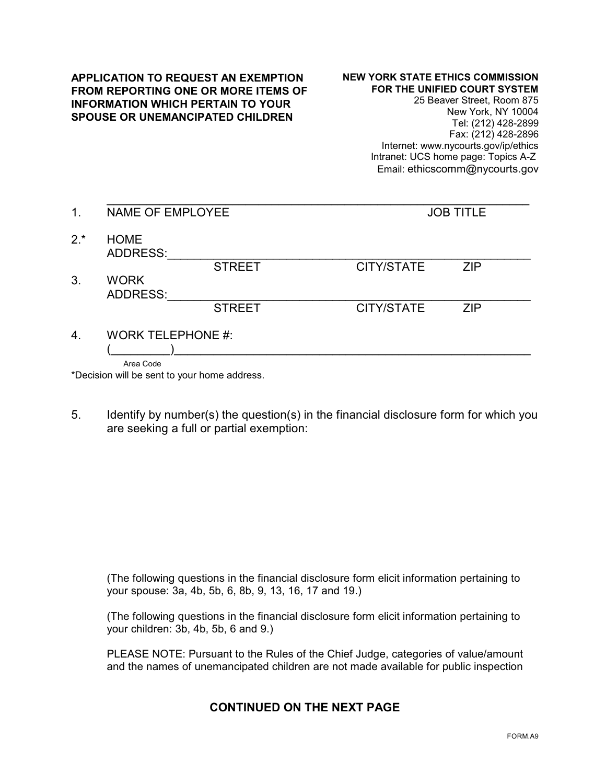## **APPLICATION TO REQUEST AN EXEMPTION FROM REPORTING ONE OR MORE ITEMS OF INFORMATION WHICH PERTAIN TO YOUR SPOUSE OR UNEMANCIPATED CHILDREN**

## **NEW YORK STATE ETHICS COMMISSION FOR THE UNIFIED COURT SYSTEM**

25 Beaver Street, Room 875 New York, NY 10004 Tel: (212) 428-2899 Fax: (212) 428-2896 Internet: www.nycourts.gov/ip/ethics Intranet: UCS home page: Topics A-Z Email: ethicscomm@nycourts.gov

| 1.    | NAME OF EMPLOYEE               |               | <b>JOB TITLE</b>  |            |
|-------|--------------------------------|---------------|-------------------|------------|
| $2.*$ | <b>HOME</b><br><b>ADDRESS:</b> |               |                   |            |
|       |                                | <b>STREET</b> | <b>CITY/STATE</b> | <b>ZIP</b> |
| 3.    | <b>WORK</b><br><b>ADDRESS:</b> |               |                   |            |
|       |                                | <b>STREET</b> | <b>CITY/STATE</b> | <b>ZIP</b> |
| 4.    | <b>WORK TELEPHONE #:</b>       |               |                   |            |
|       |                                |               |                   |            |
|       | Area Code                      |               |                   |            |

\*Decision will be sent to your home address.

5. Identify by number(s) the question(s) in the financial disclosure form for which you are seeking a full or partial exemption:

(The following questions in the financial disclosure form elicit information pertaining to your spouse: 3a, 4b, 5b, 6, 8b, 9, 13, 16, 17 and 19.)

(The following questions in the financial disclosure form elicit information pertaining to your children: 3b, 4b, 5b, 6 and 9.)

PLEASE NOTE: Pursuant to the Rules of the Chief Judge, categories of value/amount and the names of unemancipated children are not made available for public inspection

## **CONTINUED ON THE NEXT PAGE**